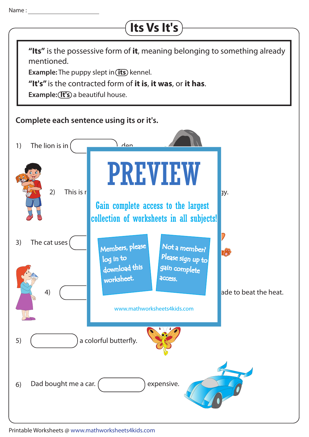